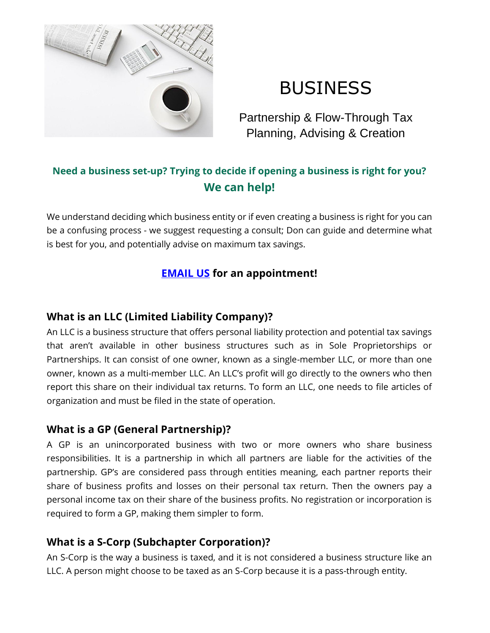

# BUSINESS

Partnership & Flow-Through Tax Planning, Advising & Creation

## **Need a business set-up? Trying to decide if opening a business is right for you? We can help!**

We understand deciding which business entity or if even creating a business is right for you can be a confusing process - we suggest requesting a consult; Don can guide and determine what is best for you, and potentially advise on maximum tax savings.

## **[EMAIL US](mailto:contact@drtaxguy.com) for an appointment!**

## **What is an LLC (Limited Liability Company)?**

An LLC is a business structure that offers personal liability protection and potential tax savings that aren't available in other business structures such as in Sole Proprietorships or Partnerships. It can consist of one owner, known as a single-member LLC, or more than one owner, known as a multi-member LLC. An LLC's profit will go directly to the owners who then report this share on their individual tax returns. To form an LLC, one needs to file articles of organization and must be filed in the state of operation.

#### **What is a GP (General Partnership)?**

A GP is an unincorporated business with two or more owners who share business responsibilities. It is a partnership in which all partners are liable for the activities of the partnership. GP's are considered pass through entities meaning, each partner reports their share of business profits and losses on their personal tax return. Then the owners pay a personal income tax on their share of the business profits. No registration or incorporation is required to form a GP, making them simpler to form.

## **What is a S-Corp (Subchapter Corporation)?**

An S-Corp is the way a business is taxed, and it is not considered a business structure like an LLC. A person might choose to be taxed as an S-Corp because it is a pass-through entity.